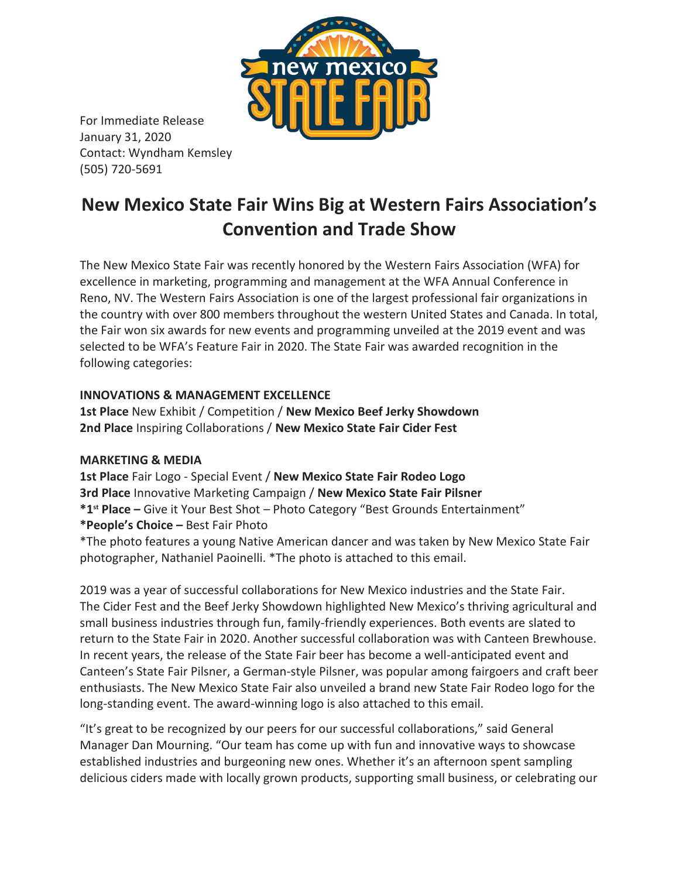

For Immediate Release January 31, 2020 Contact: Wyndham Kemsley (505) 720-5691

## **New Mexico State Fair Wins Big at Western Fairs Association's Convention and Trade Show**

The New Mexico State Fair was recently honored by the Western Fairs Association (WFA) for excellence in marketing, programming and management at the WFA Annual Conference in Reno, NV. The Western Fairs Association is one of the largest professional fair organizations in the country with over 800 members throughout the western United States and Canada. In total, the Fair won six awards for new events and programming unveiled at the 2019 event and was selected to be WFA's Feature Fair in 2020. The State Fair was awarded recognition in the following categories:

## **INNOVATIONS & MANAGEMENT EXCELLENCE**

**1st Place** New Exhibit / Competition / **New Mexico Beef Jerky Showdown 2nd Place** Inspiring Collaborations / **New Mexico State Fair Cider Fest**

## **MARKETING & MEDIA**

**1st Place** Fair Logo - Special Event / **New Mexico State Fair Rodeo Logo 3rd Place** Innovative Marketing Campaign / **New Mexico State Fair Pilsner \*1st Place –** Give it Your Best Shot – Photo Category "Best Grounds Entertainment" **\*People's Choice –** Best Fair Photo \*The photo features a young Native American dancer and was taken by New Mexico State Fair photographer, Nathaniel Paoinelli. \*The photo is attached to this email.

2019 was a year of successful collaborations for New Mexico industries and the State Fair. The Cider Fest and the Beef Jerky Showdown highlighted New Mexico's thriving agricultural and small business industries through fun, family-friendly experiences. Both events are slated to return to the State Fair in 2020. Another successful collaboration was with Canteen Brewhouse. In recent years, the release of the State Fair beer has become a well-anticipated event and Canteen's State Fair Pilsner, a German-style Pilsner, was popular among fairgoers and craft beer enthusiasts. The New Mexico State Fair also unveiled a brand new State Fair Rodeo logo for the long-standing event. The award-winning logo is also attached to this email.

"It's great to be recognized by our peers for our successful collaborations," said General Manager Dan Mourning. "Our team has come up with fun and innovative ways to showcase established industries and burgeoning new ones. Whether it's an afternoon spent sampling delicious ciders made with locally grown products, supporting small business, or celebrating our